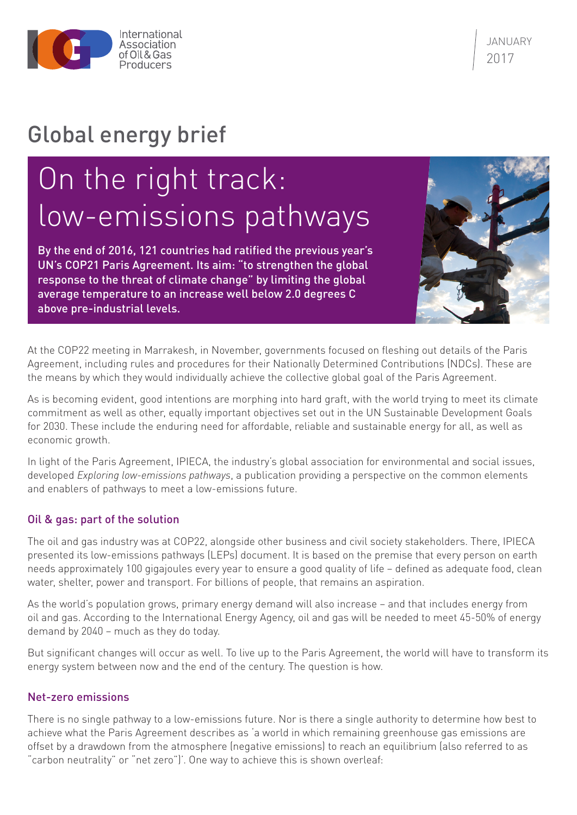

JANUARY 2017

# Global energy brief

# On the right track: low-emissions pathways

By the end of 2016, 121 countries had ratified the previous year's UN's COP21 Paris Agreement. Its aim: "to strengthen the global response to the threat of climate change" by limiting the global average temperature to an increase well below 2.0 degrees C above pre-industrial levels.



At the COP22 meeting in Marrakesh, in November, governments focused on fleshing out details of the Paris Agreement, including rules and procedures for their Nationally Determined Contributions (NDCs). These are the means by which they would individually achieve the collective global goal of the Paris Agreement.

As is becoming evident, good intentions are morphing into hard graft, with the world trying to meet its climate commitment as well as other, equally important objectives set out in the UN Sustainable Development Goals for 2030. These include the enduring need for affordable, reliable and sustainable energy for all, as well as economic growth.

In light of the Paris Agreement, IPIECA, the industry's global association for environmental and social issues, developed *Exploring low-emissions pathways*, a publication providing a perspective on the common elements and enablers of pathways to meet a low-emissions future.

## Oil & gas: part of the solution

The oil and gas industry was at COP22, alongside other business and civil society stakeholders. There, IPIECA presented its low-emissions pathways (LEPs) document. It is based on the premise that every person on earth needs approximately 100 gigajoules every year to ensure a good quality of life – defined as adequate food, clean water, shelter, power and transport. For billions of people, that remains an aspiration.

As the world's population grows, primary energy demand will also increase – and that includes energy from oil and gas. According to the International Energy Agency, oil and gas will be needed to meet 45-50% of energy demand by 2040 – much as they do today.

But significant changes will occur as well. To live up to the Paris Agreement, the world will have to transform its energy system between now and the end of the century. The question is how.

## Net-zero emissions

There is no single pathway to a low-emissions future. Nor is there a single authority to determine how best to achieve what the Paris Agreement describes as 'a world in which remaining greenhouse gas emissions are offset by a drawdown from the atmosphere (negative emissions) to reach an equilibrium (also referred to as "carbon neutrality" or "net zero")'. One way to achieve this is shown overleaf: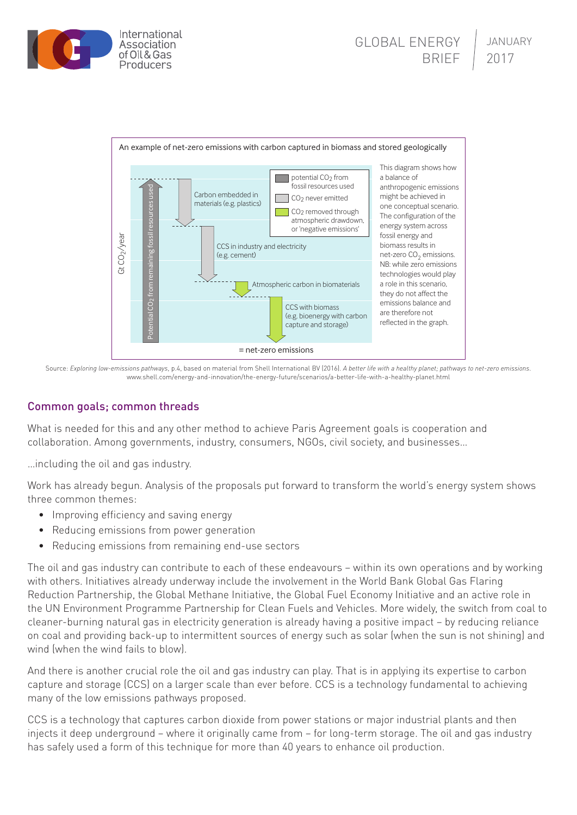



Source: *Exploring low-emissions pathways*, p.4, based on material from Shell International BV (2016). *A better life with a healthy planet; pathways to net-zero emissions.* [www.shell.com/energy-and-innovation/the-energy-future/scenarios/a-better-life-with-a-healthy-planet.html](http://www.shell.com/energy-and-innovation/the-energy-future/scenarios/a-better-life-with-a-healthy-planet.html)

# Common goals; common threads

What is needed for this and any other method to achieve Paris Agreement goals is cooperation and collaboration. Among governments, industry, consumers, NGOs, civil society, and businesses…

…including the oil and gas industry.

Work has already begun. Analysis of the proposals put forward to transform the world's energy system shows three common themes:

- Improving efficiency and saving energy
- Reducing emissions from power generation
- Reducing emissions from remaining end-use sectors

The oil and gas industry can contribute to each of these endeavours – within its own operations and by working with others. Initiatives already underway include the involvement in the World Bank Global Gas Flaring Reduction Partnership, the Global Methane Initiative, the Global Fuel Economy Initiative and an active role in the UN Environment Programme Partnership for Clean Fuels and Vehicles. More widely, the switch from coal to cleaner-burning natural gas in electricity generation is already having a positive impact – by reducing reliance on coal and providing back-up to intermittent sources of energy such as solar (when the sun is not shining) and wind (when the wind fails to blow).

And there is another crucial role the oil and gas industry can play. That is in applying its expertise to carbon capture and storage (CCS) on a larger scale than ever before. CCS is a technology fundamental to achieving many of the low emissions pathways proposed.

CCS is a technology that captures carbon dioxide from power stations or major industrial plants and then injects it deep underground – where it originally came from – for long-term storage. The oil and gas industry has safely used a form of this technique for more than 40 years to enhance oil production.